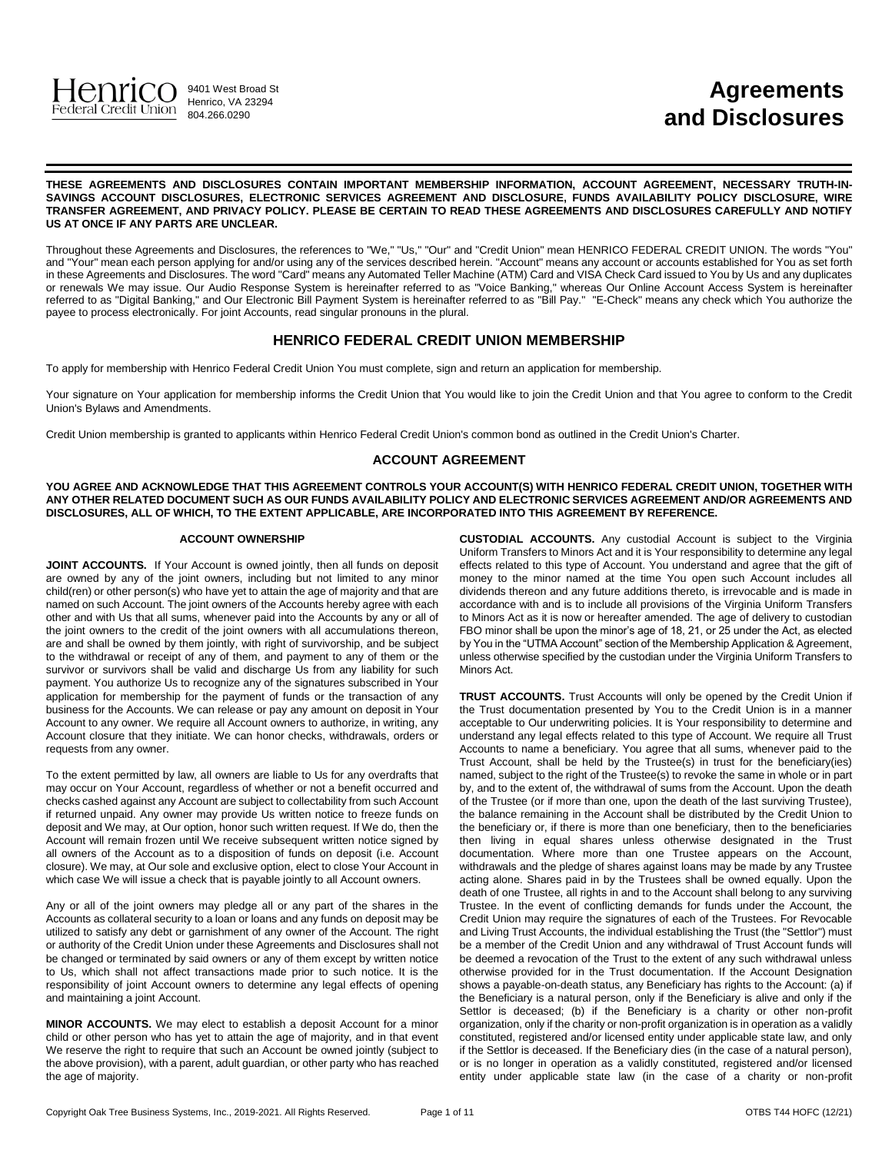

# **Agreements and Disclosures**

**THESE AGREEMENTS AND DISCLOSURES CONTAIN IMPORTANT MEMBERSHIP INFORMATION, ACCOUNT AGREEMENT, NECESSARY TRUTH-IN-SAVINGS ACCOUNT DISCLOSURES, ELECTRONIC SERVICES AGREEMENT AND DISCLOSURE, FUNDS AVAILABILITY POLICY DISCLOSURE, WIRE TRANSFER AGREEMENT, AND PRIVACY POLICY. PLEASE BE CERTAIN TO READ THESE AGREEMENTS AND DISCLOSURES CAREFULLY AND NOTIFY US AT ONCE IF ANY PARTS ARE UNCLEAR.**

Throughout these Agreements and Disclosures, the references to "We," "Us," "Our" and "Credit Union" mean HENRICO FEDERAL CREDIT UNION. The words "You" and "Your" mean each person applying for and/or using any of the services described herein. "Account" means any account or accounts established for You as set forth in these Agreements and Disclosures. The word "Card" means any Automated Teller Machine (ATM) Card and VISA Check Card issued to You by Us and any duplicates or renewals We may issue. Our Audio Response System is hereinafter referred to as "Voice Banking," whereas Our Online Account Access System is hereinafter referred to as "Digital Banking," and Our Electronic Bill Payment System is hereinafter referred to as "Bill Pay." "E-Check" means any check which You authorize the payee to process electronically. For joint Accounts, read singular pronouns in the plural.

## **HENRICO FEDERAL CREDIT UNION MEMBERSHIP**

To apply for membership with Henrico Federal Credit Union You must complete, sign and return an application for membership.

Your signature on Your application for membership informs the Credit Union that You would like to join the Credit Union and that You agree to conform to the Credit Union's Bylaws and Amendments.

Credit Union membership is granted to applicants within Henrico Federal Credit Union's common bond as outlined in the Credit Union's Charter.

## **ACCOUNT AGREEMENT**

**YOU AGREE AND ACKNOWLEDGE THAT THIS AGREEMENT CONTROLS YOUR ACCOUNT(S) WITH HENRICO FEDERAL CREDIT UNION, TOGETHER WITH ANY OTHER RELATED DOCUMENT SUCH AS OUR FUNDS AVAILABILITY POLICY AND ELECTRONIC SERVICES AGREEMENT AND/OR AGREEMENTS AND DISCLOSURES, ALL OF WHICH, TO THE EXTENT APPLICABLE, ARE INCORPORATED INTO THIS AGREEMENT BY REFERENCE.**

#### **ACCOUNT OWNERSHIP**

**JOINT ACCOUNTS.** If Your Account is owned jointly, then all funds on deposit are owned by any of the joint owners, including but not limited to any minor child(ren) or other person(s) who have yet to attain the age of majority and that are named on such Account. The joint owners of the Accounts hereby agree with each other and with Us that all sums, whenever paid into the Accounts by any or all of the joint owners to the credit of the joint owners with all accumulations thereon, are and shall be owned by them jointly, with right of survivorship, and be subject to the withdrawal or receipt of any of them, and payment to any of them or the survivor or survivors shall be valid and discharge Us from any liability for such payment. You authorize Us to recognize any of the signatures subscribed in Your application for membership for the payment of funds or the transaction of any business for the Accounts. We can release or pay any amount on deposit in Your Account to any owner. We require all Account owners to authorize, in writing, any Account closure that they initiate. We can honor checks, withdrawals, orders or requests from any owner.

To the extent permitted by law, all owners are liable to Us for any overdrafts that may occur on Your Account, regardless of whether or not a benefit occurred and checks cashed against any Account are subject to collectability from such Account if returned unpaid. Any owner may provide Us written notice to freeze funds on deposit and We may, at Our option, honor such written request. If We do, then the Account will remain frozen until We receive subsequent written notice signed by all owners of the Account as to a disposition of funds on deposit (i.e. Account closure). We may, at Our sole and exclusive option, elect to close Your Account in which case We will issue a check that is payable jointly to all Account owners.

Any or all of the joint owners may pledge all or any part of the shares in the Accounts as collateral security to a loan or loans and any funds on deposit may be utilized to satisfy any debt or garnishment of any owner of the Account. The right or authority of the Credit Union under these Agreements and Disclosures shall not be changed or terminated by said owners or any of them except by written notice to Us, which shall not affect transactions made prior to such notice. It is the responsibility of joint Account owners to determine any legal effects of opening and maintaining a joint Account.

**MINOR ACCOUNTS.** We may elect to establish a deposit Account for a minor child or other person who has yet to attain the age of majority, and in that event We reserve the right to require that such an Account be owned jointly (subject to the above provision), with a parent, adult guardian, or other party who has reached the age of majority.

**CUSTODIAL ACCOUNTS.** Any custodial Account is subject to the Virginia Uniform Transfers to Minors Act and it is Your responsibility to determine any legal effects related to this type of Account. You understand and agree that the gift of money to the minor named at the time You open such Account includes all dividends thereon and any future additions thereto, is irrevocable and is made in accordance with and is to include all provisions of the Virginia Uniform Transfers to Minors Act as it is now or hereafter amended. The age of delivery to custodian FBO minor shall be upon the minor's age of 18, 21, or 25 under the Act, as elected by You in the "UTMA Account" section of the Membership Application & Agreement, unless otherwise specified by the custodian under the Virginia Uniform Transfers to Minors Act.

| <b>TRUST ACCOUNTS.</b> Trust Accounts will only be opened by the Credit Union if          |  |  |  |  |
|-------------------------------------------------------------------------------------------|--|--|--|--|
| the Trust documentation presented by You to the Credit Union is in a manner               |  |  |  |  |
| acceptable to Our underwriting policies. It is Your responsibility to determine and       |  |  |  |  |
| understand any legal effects related to this type of Account. We require all Trust        |  |  |  |  |
| Accounts to name a beneficiary. You agree that all sums, whenever paid to the             |  |  |  |  |
| Trust Account, shall be held by the Trustee(s) in trust for the beneficiary(ies)          |  |  |  |  |
| named, subject to the right of the Trustee(s) to revoke the same in whole or in part      |  |  |  |  |
| by, and to the extent of, the withdrawal of sums from the Account. Upon the death         |  |  |  |  |
| of the Trustee (or if more than one, upon the death of the last surviving Trustee),       |  |  |  |  |
| the balance remaining in the Account shall be distributed by the Credit Union to          |  |  |  |  |
| the beneficiary or, if there is more than one beneficiary, then to the beneficiaries      |  |  |  |  |
| living in equal shares unless otherwise designated in the Trust<br>then                   |  |  |  |  |
| documentation. Where more than one Trustee appears on the Account,                        |  |  |  |  |
| withdrawals and the pledge of shares against loans may be made by any Trustee             |  |  |  |  |
| acting alone. Shares paid in by the Trustees shall be owned equally. Upon the             |  |  |  |  |
| death of one Trustee, all rights in and to the Account shall belong to any surviving      |  |  |  |  |
| Trustee. In the event of conflicting demands for funds under the Account, the             |  |  |  |  |
| Credit Union may require the signatures of each of the Trustees. For Revocable            |  |  |  |  |
| and Living Trust Accounts, the individual establishing the Trust (the "Settlor") must     |  |  |  |  |
| be a member of the Credit Union and any withdrawal of Trust Account funds will            |  |  |  |  |
| be deemed a revocation of the Trust to the extent of any such withdrawal unless           |  |  |  |  |
| otherwise provided for in the Trust documentation. If the Account Designation             |  |  |  |  |
| shows a payable-on-death status, any Beneficiary has rights to the Account: (a) if        |  |  |  |  |
| the Beneficiary is a natural person, only if the Beneficiary is alive and only if the     |  |  |  |  |
| Settlor is deceased; (b) if the Beneficiary is a charity or other non-profit              |  |  |  |  |
| organization, only if the charity or non-profit organization is in operation as a validly |  |  |  |  |
| constituted, registered and/or licensed entity under applicable state law, and only       |  |  |  |  |
| if the Settlor is deceased. If the Beneficiary dies (in the case of a natural person),    |  |  |  |  |
| or is no longer in operation as a validly constituted, registered and/or licensed         |  |  |  |  |
| entity under applicable state law (in the case of a charity or non-profit                 |  |  |  |  |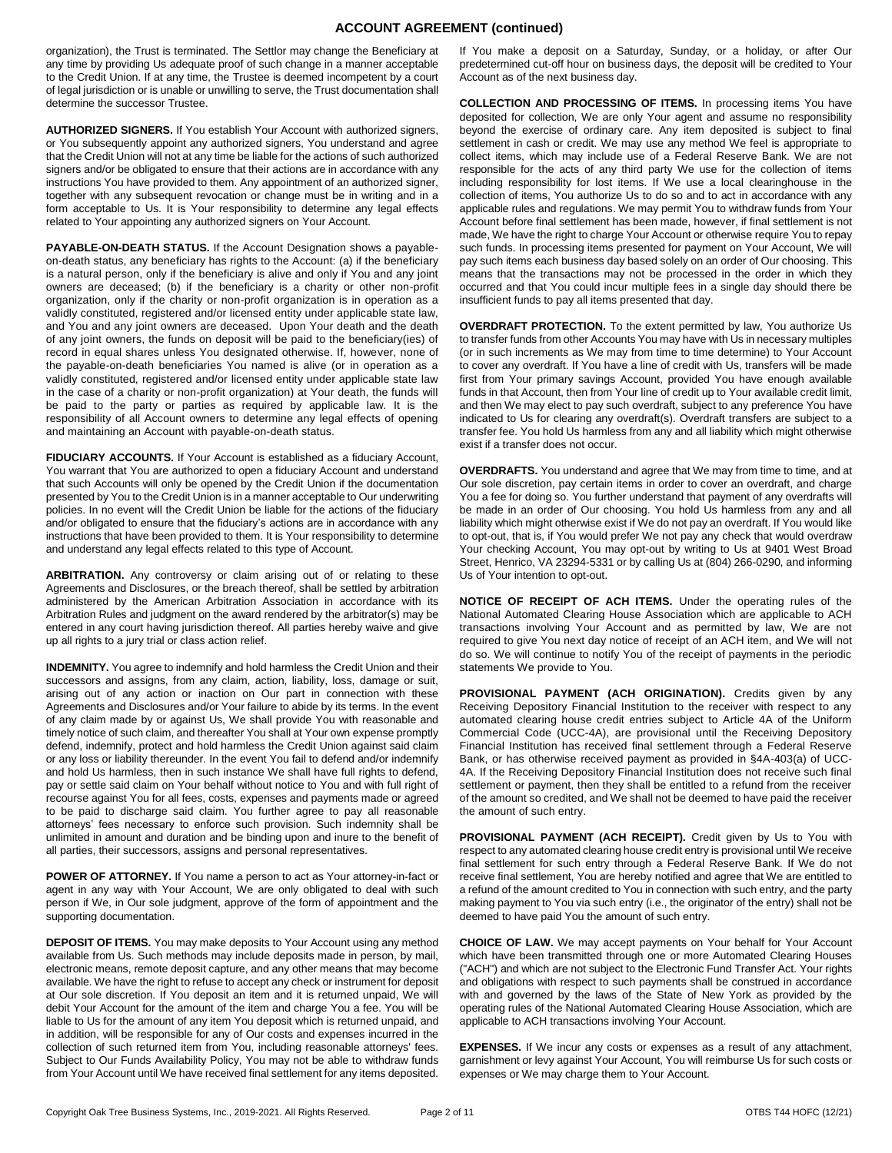## **ACCOUNT AGREEMENT (continued)**

organization), the Trust is terminated. The Settlor may change the Beneficiary at any time by providing Us adequate proof of such change in a manner acceptable to the Credit Union. If at any time, the Trustee is deemed incompetent by a court of legal jurisdiction or is unable or unwilling to serve, the Trust documentation shall determine the successor Trustee.

**AUTHORIZED SIGNERS.** If You establish Your Account with authorized signers, or You subsequently appoint any authorized signers, You understand and agree that the Credit Union will not at any time be liable for the actions of such authorized signers and/or be obligated to ensure that their actions are in accordance with any instructions You have provided to them. Any appointment of an authorized signer, together with any subsequent revocation or change must be in writing and in a form acceptable to Us. It is Your responsibility to determine any legal effects related to Your appointing any authorized signers on Your Account.

**PAYABLE-ON-DEATH STATUS.** If the Account Designation shows a payableon-death status, any beneficiary has rights to the Account: (a) if the beneficiary is a natural person, only if the beneficiary is alive and only if You and any joint owners are deceased; (b) if the beneficiary is a charity or other non-profit organization, only if the charity or non-profit organization is in operation as a validly constituted, registered and/or licensed entity under applicable state law, and You and any joint owners are deceased. Upon Your death and the death of any joint owners, the funds on deposit will be paid to the beneficiary(ies) of record in equal shares unless You designated otherwise. If, however, none of the payable-on-death beneficiaries You named is alive (or in operation as a validly constituted, registered and/or licensed entity under applicable state law in the case of a charity or non-profit organization) at Your death, the funds will be paid to the party or parties as required by applicable law. It is the responsibility of all Account owners to determine any legal effects of opening and maintaining an Account with payable-on-death status.

**FIDUCIARY ACCOUNTS.** If Your Account is established as a fiduciary Account, You warrant that You are authorized to open a fiduciary Account and understand that such Accounts will only be opened by the Credit Union if the documentation presented by You to the Credit Union is in a manner acceptable to Our underwriting policies. In no event will the Credit Union be liable for the actions of the fiduciary and/or obligated to ensure that the fiduciary's actions are in accordance with any instructions that have been provided to them. It is Your responsibility to determine and understand any legal effects related to this type of Account.

**ARBITRATION.** Any controversy or claim arising out of or relating to these Agreements and Disclosures, or the breach thereof, shall be settled by arbitration administered by the American Arbitration Association in accordance with its Arbitration Rules and judgment on the award rendered by the arbitrator(s) may be entered in any court having jurisdiction thereof. All parties hereby waive and give up all rights to a jury trial or class action relief.

**INDEMNITY.** You agree to indemnify and hold harmless the Credit Union and their successors and assigns, from any claim, action, liability, loss, damage or suit, arising out of any action or inaction on Our part in connection with these Agreements and Disclosures and/or Your failure to abide by its terms. In the event of any claim made by or against Us, We shall provide You with reasonable and timely notice of such claim, and thereafter You shall at Your own expense promptly defend, indemnify, protect and hold harmless the Credit Union against said claim or any loss or liability thereunder. In the event You fail to defend and/or indemnify and hold Us harmless, then in such instance We shall have full rights to defend, pay or settle said claim on Your behalf without notice to You and with full right of recourse against You for all fees, costs, expenses and payments made or agreed to be paid to discharge said claim. You further agree to pay all reasonable attorneys' fees necessary to enforce such provision. Such indemnity shall be unlimited in amount and duration and be binding upon and inure to the benefit of all parties, their successors, assigns and personal representatives.

**POWER OF ATTORNEY.** If You name a person to act as Your attorney-in-fact or agent in any way with Your Account, We are only obligated to deal with such person if We, in Our sole judgment, approve of the form of appointment and the supporting documentation.

**DEPOSIT OF ITEMS.** You may make deposits to Your Account using any method available from Us. Such methods may include deposits made in person, by mail, electronic means, remote deposit capture, and any other means that may become available. We have the right to refuse to accept any check or instrument for deposit at Our sole discretion. If You deposit an item and it is returned unpaid, We will debit Your Account for the amount of the item and charge You a fee. You will be liable to Us for the amount of any item You deposit which is returned unpaid, and in addition, will be responsible for any of Our costs and expenses incurred in the collection of such returned item from You, including reasonable attorneys' fees. Subject to Our Funds Availability Policy, You may not be able to withdraw funds from Your Account until We have received final settlement for any items deposited.

If You make a deposit on a Saturday, Sunday, or a holiday, or after Our predetermined cut-off hour on business days, the deposit will be credited to Your Account as of the next business day.

**COLLECTION AND PROCESSING OF ITEMS.** In processing items You have deposited for collection, We are only Your agent and assume no responsibility beyond the exercise of ordinary care. Any item deposited is subject to final settlement in cash or credit. We may use any method We feel is appropriate to collect items, which may include use of a Federal Reserve Bank. We are not responsible for the acts of any third party We use for the collection of items including responsibility for lost items. If We use a local clearinghouse in the collection of items, You authorize Us to do so and to act in accordance with any applicable rules and regulations. We may permit You to withdraw funds from Your Account before final settlement has been made, however, if final settlement is not made, We have the right to charge Your Account or otherwise require You to repay such funds. In processing items presented for payment on Your Account, We will pay such items each business day based solely on an order of Our choosing. This means that the transactions may not be processed in the order in which they occurred and that You could incur multiple fees in a single day should there be insufficient funds to pay all items presented that day.

**OVERDRAFT PROTECTION.** To the extent permitted by law, You authorize Us to transfer funds from other Accounts You may have with Us in necessary multiples (or in such increments as We may from time to time determine) to Your Account to cover any overdraft. If You have a line of credit with Us, transfers will be made first from Your primary savings Account, provided You have enough available funds in that Account, then from Your line of credit up to Your available credit limit, and then We may elect to pay such overdraft, subject to any preference You have indicated to Us for clearing any overdraft(s). Overdraft transfers are subject to a transfer fee. You hold Us harmless from any and all liability which might otherwise exist if a transfer does not occur.

**OVERDRAFTS.** You understand and agree that We may from time to time, and at Our sole discretion, pay certain items in order to cover an overdraft, and charge You a fee for doing so. You further understand that payment of any overdrafts will be made in an order of Our choosing. You hold Us harmless from any and all liability which might otherwise exist if We do not pay an overdraft. If You would like to opt-out, that is, if You would prefer We not pay any check that would overdraw Your checking Account, You may opt-out by writing to Us at 9401 West Broad Street, Henrico, VA 23294-5331 or by calling Us at (804) 266-0290, and informing Us of Your intention to opt-out.

**NOTICE OF RECEIPT OF ACH ITEMS.** Under the operating rules of the National Automated Clearing House Association which are applicable to ACH transactions involving Your Account and as permitted by law, We are not required to give You next day notice of receipt of an ACH item, and We will not do so. We will continue to notify You of the receipt of payments in the periodic statements We provide to You.

PROVISIONAL PAYMENT (ACH ORIGINATION). Credits given by any Receiving Depository Financial Institution to the receiver with respect to any automated clearing house credit entries subject to Article 4A of the Uniform Commercial Code (UCC-4A), are provisional until the Receiving Depository Financial Institution has received final settlement through a Federal Reserve Bank, or has otherwise received payment as provided in §4A-403(a) of UCC-4A. If the Receiving Depository Financial Institution does not receive such final settlement or payment, then they shall be entitled to a refund from the receiver of the amount so credited, and We shall not be deemed to have paid the receiver the amount of such entry.

PROVISIONAL PAYMENT (ACH RECEIPT). Credit given by Us to You with respect to any automated clearing house credit entry is provisional until We receive final settlement for such entry through a Federal Reserve Bank. If We do not receive final settlement, You are hereby notified and agree that We are entitled to a refund of the amount credited to You in connection with such entry, and the party making payment to You via such entry (i.e., the originator of the entry) shall not be deemed to have paid You the amount of such entry.

**CHOICE OF LAW.** We may accept payments on Your behalf for Your Account which have been transmitted through one or more Automated Clearing Houses ("ACH") and which are not subject to the Electronic Fund Transfer Act. Your rights and obligations with respect to such payments shall be construed in accordance with and governed by the laws of the State of New York as provided by the operating rules of the National Automated Clearing House Association, which are applicable to ACH transactions involving Your Account.

**EXPENSES.** If We incur any costs or expenses as a result of any attachment, garnishment or levy against Your Account, You will reimburse Us for such costs or expenses or We may charge them to Your Account.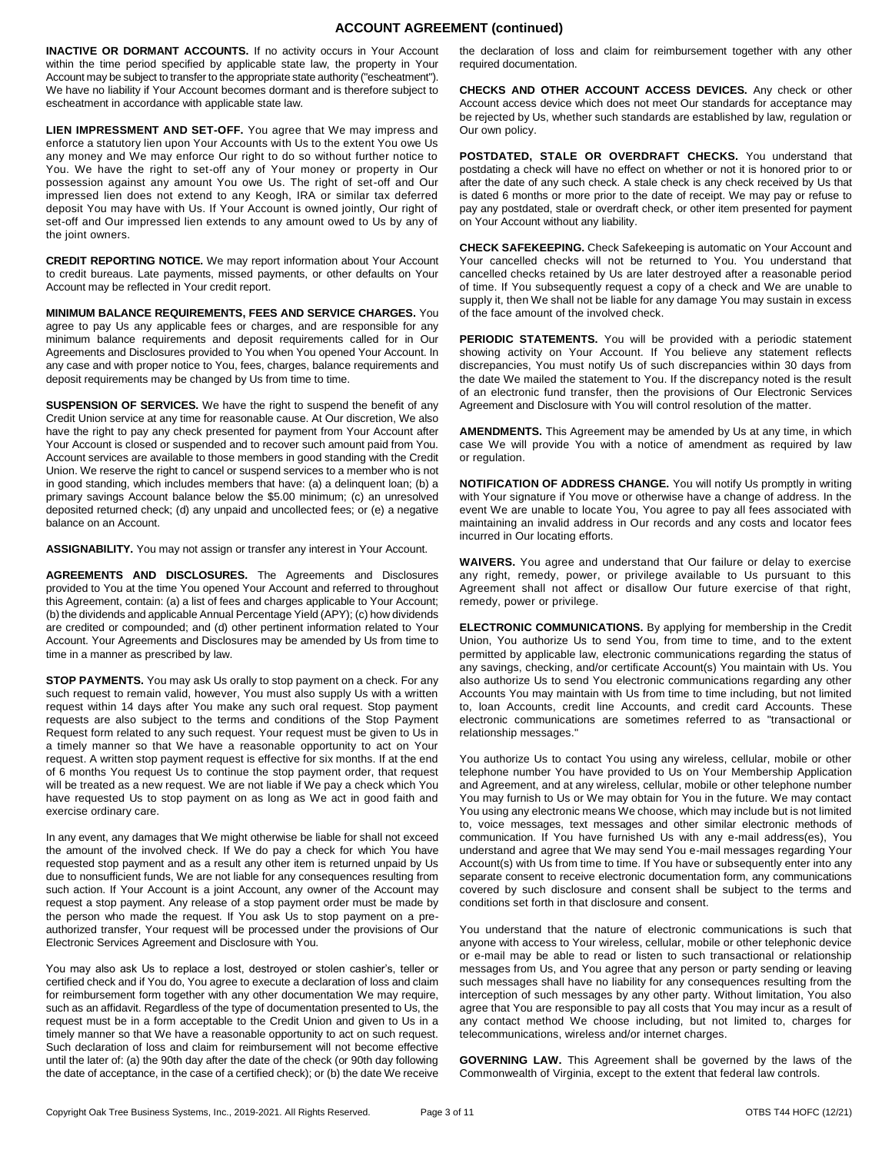## **ACCOUNT AGREEMENT (continued)**

**INACTIVE OR DORMANT ACCOUNTS.** If no activity occurs in Your Account within the time period specified by applicable state law, the property in Your Account may be subject to transfer to the appropriate state authority ("escheatment"). We have no liability if Your Account becomes dormant and is therefore subject to escheatment in accordance with applicable state law.

**LIEN IMPRESSMENT AND SET-OFF.** You agree that We may impress and enforce a statutory lien upon Your Accounts with Us to the extent You owe Us any money and We may enforce Our right to do so without further notice to You. We have the right to set-off any of Your money or property in Our possession against any amount You owe Us. The right of set-off and Our impressed lien does not extend to any Keogh, IRA or similar tax deferred deposit You may have with Us. If Your Account is owned jointly, Our right of set-off and Our impressed lien extends to any amount owed to Us by any of the joint owners.

**CREDIT REPORTING NOTICE.** We may report information about Your Account to credit bureaus. Late payments, missed payments, or other defaults on Your Account may be reflected in Your credit report.

**MINIMUM BALANCE REQUIREMENTS, FEES AND SERVICE CHARGES.** You agree to pay Us any applicable fees or charges, and are responsible for any minimum balance requirements and deposit requirements called for in Our Agreements and Disclosures provided to You when You opened Your Account. In any case and with proper notice to You, fees, charges, balance requirements and deposit requirements may be changed by Us from time to time.

**SUSPENSION OF SERVICES.** We have the right to suspend the benefit of any Credit Union service at any time for reasonable cause. At Our discretion, We also have the right to pay any check presented for payment from Your Account after Your Account is closed or suspended and to recover such amount paid from You. Account services are available to those members in good standing with the Credit Union. We reserve the right to cancel or suspend services to a member who is not in good standing, which includes members that have: (a) a delinquent loan; (b) a primary savings Account balance below the \$5.00 minimum; (c) an unresolved deposited returned check; (d) any unpaid and uncollected fees; or (e) a negative balance on an Account.

**ASSIGNABILITY.** You may not assign or transfer any interest in Your Account.

**AGREEMENTS AND DISCLOSURES.** The Agreements and Disclosures provided to You at the time You opened Your Account and referred to throughout this Agreement, contain: (a) a list of fees and charges applicable to Your Account; (b) the dividends and applicable Annual Percentage Yield (APY); (c) how dividends are credited or compounded; and (d) other pertinent information related to Your Account. Your Agreements and Disclosures may be amended by Us from time to time in a manner as prescribed by law.

**STOP PAYMENTS.** You may ask Us orally to stop payment on a check. For any such request to remain valid, however, You must also supply Us with a written request within 14 days after You make any such oral request. Stop payment requests are also subject to the terms and conditions of the Stop Payment Request form related to any such request. Your request must be given to Us in a timely manner so that We have a reasonable opportunity to act on Your request. A written stop payment request is effective for six months. If at the end of 6 months You request Us to continue the stop payment order, that request will be treated as a new request. We are not liable if We pay a check which You have requested Us to stop payment on as long as We act in good faith and exercise ordinary care.

In any event, any damages that We might otherwise be liable for shall not exceed the amount of the involved check. If We do pay a check for which You have requested stop payment and as a result any other item is returned unpaid by Us due to nonsufficient funds, We are not liable for any consequences resulting from such action. If Your Account is a joint Account, any owner of the Account may request a stop payment. Any release of a stop payment order must be made by the person who made the request. If You ask Us to stop payment on a preauthorized transfer, Your request will be processed under the provisions of Our Electronic Services Agreement and Disclosure with You.

You may also ask Us to replace a lost, destroyed or stolen cashier's, teller or certified check and if You do, You agree to execute a declaration of loss and claim for reimbursement form together with any other documentation We may require, such as an affidavit. Regardless of the type of documentation presented to Us, the request must be in a form acceptable to the Credit Union and given to Us in a timely manner so that We have a reasonable opportunity to act on such request. Such declaration of loss and claim for reimbursement will not become effective until the later of: (a) the 90th day after the date of the check (or 90th day following the date of acceptance, in the case of a certified check); or (b) the date We receive the declaration of loss and claim for reimbursement together with any other required documentation.

**CHECKS AND OTHER ACCOUNT ACCESS DEVICES.** Any check or other Account access device which does not meet Our standards for acceptance may be rejected by Us, whether such standards are established by law, regulation or Our own policy.

**POSTDATED, STALE OR OVERDRAFT CHECKS.** You understand that postdating a check will have no effect on whether or not it is honored prior to or after the date of any such check. A stale check is any check received by Us that is dated 6 months or more prior to the date of receipt. We may pay or refuse to pay any postdated, stale or overdraft check, or other item presented for payment on Your Account without any liability.

**CHECK SAFEKEEPING.** Check Safekeeping is automatic on Your Account and Your cancelled checks will not be returned to You. You understand that cancelled checks retained by Us are later destroyed after a reasonable period of time. If You subsequently request a copy of a check and We are unable to supply it, then We shall not be liable for any damage You may sustain in excess of the face amount of the involved check.

**PERIODIC STATEMENTS.** You will be provided with a periodic statement showing activity on Your Account. If You believe any statement reflects discrepancies, You must notify Us of such discrepancies within 30 days from the date We mailed the statement to You. If the discrepancy noted is the result of an electronic fund transfer, then the provisions of Our Electronic Services Agreement and Disclosure with You will control resolution of the matter.

**AMENDMENTS.** This Agreement may be amended by Us at any time, in which case We will provide You with a notice of amendment as required by law or regulation.

**NOTIFICATION OF ADDRESS CHANGE.** You will notify Us promptly in writing with Your signature if You move or otherwise have a change of address. In the event We are unable to locate You, You agree to pay all fees associated with maintaining an invalid address in Our records and any costs and locator fees incurred in Our locating efforts.

**WAIVERS.** You agree and understand that Our failure or delay to exercise any right, remedy, power, or privilege available to Us pursuant to this Agreement shall not affect or disallow Our future exercise of that right, remedy, power or privilege.

**ELECTRONIC COMMUNICATIONS.** By applying for membership in the Credit Union, You authorize Us to send You, from time to time, and to the extent permitted by applicable law, electronic communications regarding the status of any savings, checking, and/or certificate Account(s) You maintain with Us. You also authorize Us to send You electronic communications regarding any other Accounts You may maintain with Us from time to time including, but not limited to, loan Accounts, credit line Accounts, and credit card Accounts. These electronic communications are sometimes referred to as "transactional or relationship messages."

You authorize Us to contact You using any wireless, cellular, mobile or other telephone number You have provided to Us on Your Membership Application and Agreement, and at any wireless, cellular, mobile or other telephone number You may furnish to Us or We may obtain for You in the future. We may contact You using any electronic means We choose, which may include but is not limited to, voice messages, text messages and other similar electronic methods of communication. If You have furnished Us with any e-mail address(es), You understand and agree that We may send You e-mail messages regarding Your Account(s) with Us from time to time. If You have or subsequently enter into any separate consent to receive electronic documentation form, any communications covered by such disclosure and consent shall be subject to the terms and conditions set forth in that disclosure and consent.

You understand that the nature of electronic communications is such that anyone with access to Your wireless, cellular, mobile or other telephonic device or e-mail may be able to read or listen to such transactional or relationship messages from Us, and You agree that any person or party sending or leaving such messages shall have no liability for any consequences resulting from the interception of such messages by any other party. Without limitation, You also agree that You are responsible to pay all costs that You may incur as a result of any contact method We choose including, but not limited to, charges for telecommunications, wireless and/or internet charges.

**GOVERNING LAW.** This Agreement shall be governed by the laws of the Commonwealth of Virginia, except to the extent that federal law controls.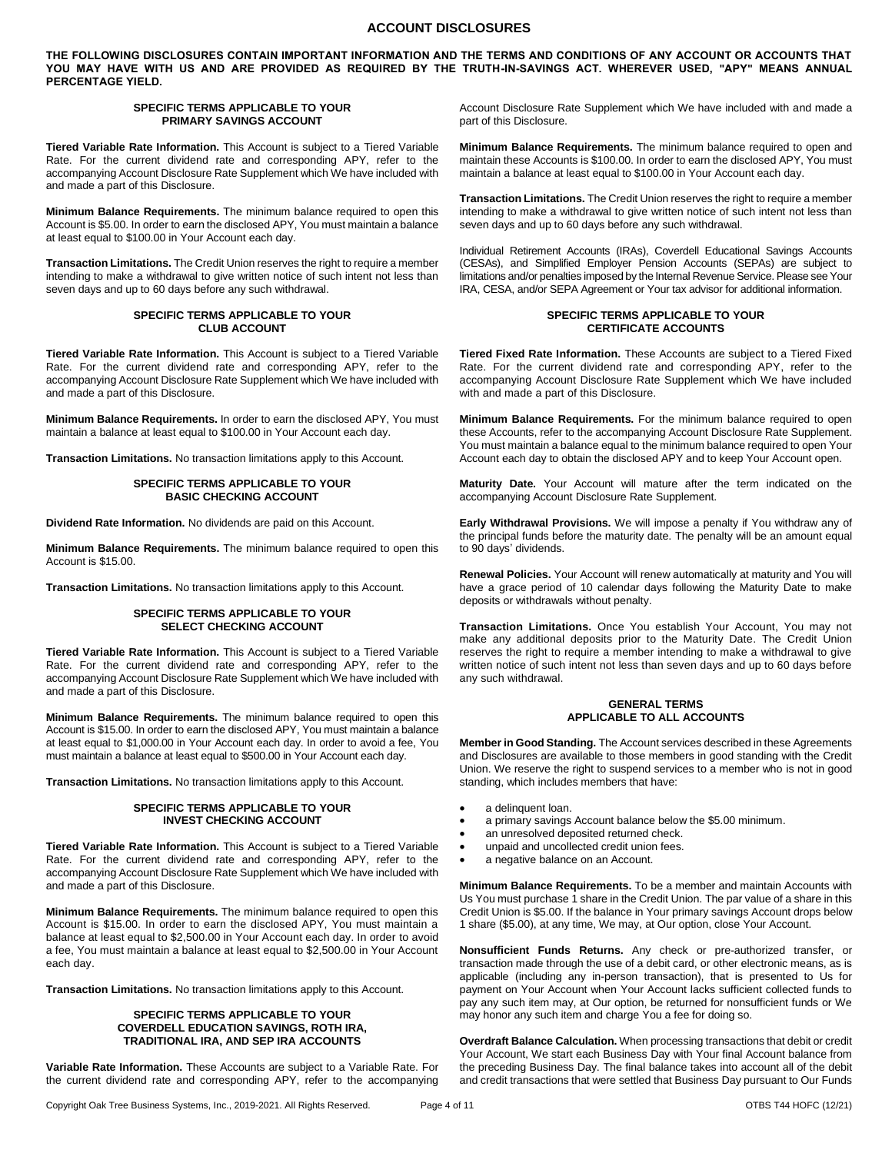## **ACCOUNT DISCLOSURES**

**THE FOLLOWING DISCLOSURES CONTAIN IMPORTANT INFORMATION AND THE TERMS AND CONDITIONS OF ANY ACCOUNT OR ACCOUNTS THAT YOU MAY HAVE WITH US AND ARE PROVIDED AS REQUIRED BY THE TRUTH-IN-SAVINGS ACT. WHEREVER USED, "APY" MEANS ANNUAL PERCENTAGE YIELD.** 

#### **SPECIFIC TERMS APPLICABLE TO YOUR PRIMARY SAVINGS ACCOUNT**

**Tiered Variable Rate Information.** This Account is subject to a Tiered Variable Rate. For the current dividend rate and corresponding APY, refer to the accompanying Account Disclosure Rate Supplement which We have included with and made a part of this Disclosure.

**Minimum Balance Requirements.** The minimum balance required to open this Account is \$5.00. In order to earn the disclosed APY, You must maintain a balance at least equal to \$100.00 in Your Account each day.

**Transaction Limitations.** The Credit Union reserves the right to require a member intending to make a withdrawal to give written notice of such intent not less than seven days and up to 60 days before any such withdrawal.

#### **SPECIFIC TERMS APPLICABLE TO YOUR CLUB ACCOUNT**

**Tiered Variable Rate Information.** This Account is subject to a Tiered Variable Rate. For the current dividend rate and corresponding APY, refer to the accompanying Account Disclosure Rate Supplement which We have included with and made a part of this Disclosure.

**Minimum Balance Requirements.** In order to earn the disclosed APY, You must maintain a balance at least equal to \$100.00 in Your Account each day.

**Transaction Limitations.** No transaction limitations apply to this Account.

#### **SPECIFIC TERMS APPLICABLE TO YOUR BASIC CHECKING ACCOUNT**

**Dividend Rate Information.** No dividends are paid on this Account.

**Minimum Balance Requirements.** The minimum balance required to open this Account is \$15.00.

**Transaction Limitations.** No transaction limitations apply to this Account.

#### **SPECIFIC TERMS APPLICABLE TO YOUR SELECT CHECKING ACCOUNT**

**Tiered Variable Rate Information.** This Account is subject to a Tiered Variable Rate. For the current dividend rate and corresponding APY, refer to the accompanying Account Disclosure Rate Supplement which We have included with and made a part of this Disclosure.

**Minimum Balance Requirements.** The minimum balance required to open this Account is \$15.00. In order to earn the disclosed APY, You must maintain a balance at least equal to \$1,000.00 in Your Account each day. In order to avoid a fee, You must maintain a balance at least equal to \$500.00 in Your Account each day.

**Transaction Limitations.** No transaction limitations apply to this Account.

#### **SPECIFIC TERMS APPLICABLE TO YOUR INVEST CHECKING ACCOUNT**

**Tiered Variable Rate Information.** This Account is subject to a Tiered Variable Rate. For the current dividend rate and corresponding APY, refer to the accompanying Account Disclosure Rate Supplement which We have included with and made a part of this Disclosure.

**Minimum Balance Requirements.** The minimum balance required to open this Account is \$15.00. In order to earn the disclosed APY, You must maintain a balance at least equal to \$2,500.00 in Your Account each day. In order to avoid a fee, You must maintain a balance at least equal to \$2,500.00 in Your Account each day.

**Transaction Limitations.** No transaction limitations apply to this Account.

### **SPECIFIC TERMS APPLICABLE TO YOUR COVERDELL EDUCATION SAVINGS, ROTH IRA, TRADITIONAL IRA, AND SEP IRA ACCOUNTS**

**Variable Rate Information.** These Accounts are subject to a Variable Rate. For the current dividend rate and corresponding APY, refer to the accompanying

Account Disclosure Rate Supplement which We have included with and made a part of this Disclosure.

**Minimum Balance Requirements.** The minimum balance required to open and maintain these Accounts is \$100.00. In order to earn the disclosed APY, You must maintain a balance at least equal to \$100.00 in Your Account each day.

**Transaction Limitations.** The Credit Union reserves the right to require a member intending to make a withdrawal to give written notice of such intent not less than seven days and up to 60 days before any such withdrawal.

Individual Retirement Accounts (IRAs), Coverdell Educational Savings Accounts (CESAs), and Simplified Employer Pension Accounts (SEPAs) are subject to limitations and/or penalties imposed by the Internal Revenue Service. Please see Your IRA, CESA, and/or SEPA Agreement or Your tax advisor for additional information.

### **SPECIFIC TERMS APPLICABLE TO YOUR CERTIFICATE ACCOUNTS**

**Tiered Fixed Rate Information.** These Accounts are subject to a Tiered Fixed Rate. For the current dividend rate and corresponding APY, refer to the accompanying Account Disclosure Rate Supplement which We have included with and made a part of this Disclosure.

**Minimum Balance Requirements.** For the minimum balance required to open these Accounts, refer to the accompanying Account Disclosure Rate Supplement. You must maintain a balance equal to the minimum balance required to open Your Account each day to obtain the disclosed APY and to keep Your Account open.

**Maturity Date.** Your Account will mature after the term indicated on the accompanying Account Disclosure Rate Supplement.

**Early Withdrawal Provisions.** We will impose a penalty if You withdraw any of the principal funds before the maturity date. The penalty will be an amount equal to 90 days' dividends.

**Renewal Policies.** Your Account will renew automatically at maturity and You will have a grace period of 10 calendar days following the Maturity Date to make deposits or withdrawals without penalty.

**Transaction Limitations.** Once You establish Your Account, You may not make any additional deposits prior to the Maturity Date. The Credit Union reserves the right to require a member intending to make a withdrawal to give written notice of such intent not less than seven days and up to 60 days before any such withdrawal.

#### **GENERAL TERMS APPLICABLE TO ALL ACCOUNTS**

**Member in Good Standing.** The Account services described in these Agreements and Disclosures are available to those members in good standing with the Credit Union. We reserve the right to suspend services to a member who is not in good standing, which includes members that have:

- a delinquent loan.
- a primary savings Account balance below the \$5.00 minimum.
- an unresolved deposited returned check.
- unpaid and uncollected credit union fees.
- a negative balance on an Account.

**Minimum Balance Requirements.** To be a member and maintain Accounts with Us You must purchase 1 share in the Credit Union. The par value of a share in this Credit Union is \$5.00. If the balance in Your primary savings Account drops below 1 share (\$5.00), at any time, We may, at Our option, close Your Account.

**Nonsufficient Funds Returns.** Any check or pre-authorized transfer, or transaction made through the use of a debit card, or other electronic means, as is applicable (including any in-person transaction), that is presented to Us for payment on Your Account when Your Account lacks sufficient collected funds to pay any such item may, at Our option, be returned for nonsufficient funds or We may honor any such item and charge You a fee for doing so.

**Overdraft Balance Calculation.** When processing transactions that debit or credit Your Account, We start each Business Day with Your final Account balance from the preceding Business Day. The final balance takes into account all of the debit and credit transactions that were settled that Business Day pursuant to Our Funds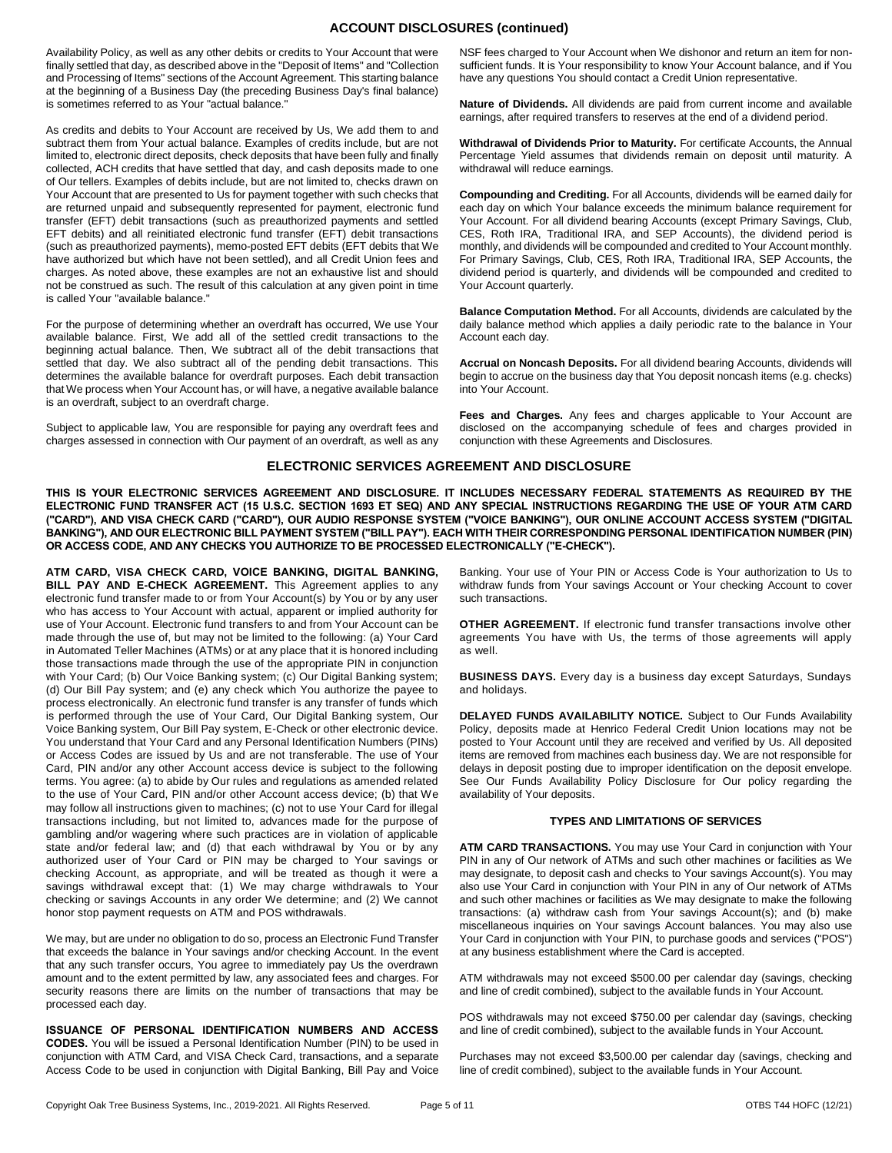## **ACCOUNT DISCLOSURES (continued)**

Availability Policy, as well as any other debits or credits to Your Account that were finally settled that day, as described above in the "Deposit of Items" and "Collection and Processing of Items" sections of the Account Agreement. This starting balance at the beginning of a Business Day (the preceding Business Day's final balance) is sometimes referred to as Your "actual balance."

As credits and debits to Your Account are received by Us, We add them to and subtract them from Your actual balance. Examples of credits include, but are not limited to, electronic direct deposits, check deposits that have been fully and finally collected, ACH credits that have settled that day, and cash deposits made to one of Our tellers. Examples of debits include, but are not limited to, checks drawn on Your Account that are presented to Us for payment together with such checks that are returned unpaid and subsequently represented for payment, electronic fund transfer (EFT) debit transactions (such as preauthorized payments and settled EFT debits) and all reinitiated electronic fund transfer (EFT) debit transactions (such as preauthorized payments), memo-posted EFT debits (EFT debits that We have authorized but which have not been settled), and all Credit Union fees and charges. As noted above, these examples are not an exhaustive list and should not be construed as such. The result of this calculation at any given point in time is called Your "available balance."

For the purpose of determining whether an overdraft has occurred, We use Your available balance. First, We add all of the settled credit transactions to the beginning actual balance. Then, We subtract all of the debit transactions that settled that day. We also subtract all of the pending debit transactions. This determines the available balance for overdraft purposes. Each debit transaction that We process when Your Account has, or will have, a negative available balance is an overdraft, subject to an overdraft charge.

Subject to applicable law, You are responsible for paying any overdraft fees and charges assessed in connection with Our payment of an overdraft, as well as any NSF fees charged to Your Account when We dishonor and return an item for nonsufficient funds. It is Your responsibility to know Your Account balance, and if You have any questions You should contact a Credit Union representative.

**Nature of Dividends.** All dividends are paid from current income and available earnings, after required transfers to reserves at the end of a dividend period.

**Withdrawal of Dividends Prior to Maturity.** For certificate Accounts, the Annual Percentage Yield assumes that dividends remain on deposit until maturity. A withdrawal will reduce earnings.

**Compounding and Crediting.** For all Accounts, dividends will be earned daily for each day on which Your balance exceeds the minimum balance requirement for Your Account. For all dividend bearing Accounts (except Primary Savings, Club, CES, Roth IRA, Traditional IRA, and SEP Accounts), the dividend period is monthly, and dividends will be compounded and credited to Your Account monthly. For Primary Savings, Club, CES, Roth IRA, Traditional IRA, SEP Accounts, the dividend period is quarterly, and dividends will be compounded and credited to Your Account quarterly.

**Balance Computation Method.** For all Accounts, dividends are calculated by the daily balance method which applies a daily periodic rate to the balance in Your Account each day.

**Accrual on Noncash Deposits.** For all dividend bearing Accounts, dividends will begin to accrue on the business day that You deposit noncash items (e.g. checks) into Your Account.

**Fees and Charges.** Any fees and charges applicable to Your Account are disclosed on the accompanying schedule of fees and charges provided in conjunction with these Agreements and Disclosures.

## **ELECTRONIC SERVICES AGREEMENT AND DISCLOSURE**

**THIS IS YOUR ELECTRONIC SERVICES AGREEMENT AND DISCLOSURE. IT INCLUDES NECESSARY FEDERAL STATEMENTS AS REQUIRED BY THE ELECTRONIC FUND TRANSFER ACT (15 U.S.C. SECTION 1693 ET SEQ) AND ANY SPECIAL INSTRUCTIONS REGARDING THE USE OF YOUR ATM CARD ("CARD"), AND VISA CHECK CARD ("CARD"), OUR AUDIO RESPONSE SYSTEM ("VOICE BANKING"), OUR ONLINE ACCOUNT ACCESS SYSTEM ("DIGITAL BANKING"), AND OUR ELECTRONIC BILL PAYMENT SYSTEM ("BILL PAY"). EACH WITH THEIR CORRESPONDING PERSONAL IDENTIFICATION NUMBER (PIN) OR ACCESS CODE, AND ANY CHECKS YOU AUTHORIZE TO BE PROCESSED ELECTRONICALLY ("E-CHECK").**

**ATM CARD, VISA CHECK CARD, VOICE BANKING, DIGITAL BANKING, BILL PAY AND E-CHECK AGREEMENT.** This Agreement applies to any electronic fund transfer made to or from Your Account(s) by You or by any user who has access to Your Account with actual, apparent or implied authority for use of Your Account. Electronic fund transfers to and from Your Account can be made through the use of, but may not be limited to the following: (a) Your Card in Automated Teller Machines (ATMs) or at any place that it is honored including those transactions made through the use of the appropriate PIN in conjunction with Your Card; (b) Our Voice Banking system; (c) Our Digital Banking system; (d) Our Bill Pay system; and (e) any check which You authorize the payee to process electronically. An electronic fund transfer is any transfer of funds which is performed through the use of Your Card, Our Digital Banking system, Our Voice Banking system, Our Bill Pay system, E-Check or other electronic device. You understand that Your Card and any Personal Identification Numbers (PINs) or Access Codes are issued by Us and are not transferable. The use of Your Card, PIN and/or any other Account access device is subject to the following terms. You agree: (a) to abide by Our rules and regulations as amended related to the use of Your Card, PIN and/or other Account access device; (b) that We may follow all instructions given to machines; (c) not to use Your Card for illegal transactions including, but not limited to, advances made for the purpose of gambling and/or wagering where such practices are in violation of applicable state and/or federal law; and (d) that each withdrawal by You or by any authorized user of Your Card or PIN may be charged to Your savings or checking Account, as appropriate, and will be treated as though it were a savings withdrawal except that: (1) We may charge withdrawals to Your checking or savings Accounts in any order We determine; and (2) We cannot honor stop payment requests on ATM and POS withdrawals.

We may, but are under no obligation to do so, process an Electronic Fund Transfer that exceeds the balance in Your savings and/or checking Account. In the event that any such transfer occurs, You agree to immediately pay Us the overdrawn amount and to the extent permitted by law, any associated fees and charges. For security reasons there are limits on the number of transactions that may be processed each day.

**ISSUANCE OF PERSONAL IDENTIFICATION NUMBERS AND ACCESS CODES.** You will be issued a Personal Identification Number (PIN) to be used in conjunction with ATM Card, and VISA Check Card, transactions, and a separate Access Code to be used in conjunction with Digital Banking, Bill Pay and Voice

Banking. Your use of Your PIN or Access Code is Your authorization to Us to withdraw funds from Your savings Account or Your checking Account to cover such transactions.

**OTHER AGREEMENT.** If electronic fund transfer transactions involve other agreements You have with Us, the terms of those agreements will apply as well.

**BUSINESS DAYS.** Every day is a business day except Saturdays, Sundays and holidays.

**DELAYED FUNDS AVAILABILITY NOTICE.** Subject to Our Funds Availability Policy, deposits made at Henrico Federal Credit Union locations may not be posted to Your Account until they are received and verified by Us. All deposited items are removed from machines each business day. We are not responsible for delays in deposit posting due to improper identification on the deposit envelope. See Our Funds Availability Policy Disclosure for Our policy regarding the availability of Your deposits.

#### **TYPES AND LIMITATIONS OF SERVICES**

**ATM CARD TRANSACTIONS.** You may use Your Card in conjunction with Your PIN in any of Our network of ATMs and such other machines or facilities as We may designate, to deposit cash and checks to Your savings Account(s). You may also use Your Card in conjunction with Your PIN in any of Our network of ATMs and such other machines or facilities as We may designate to make the following transactions: (a) withdraw cash from Your savings Account(s); and (b) make miscellaneous inquiries on Your savings Account balances. You may also use Your Card in conjunction with Your PIN, to purchase goods and services ("POS") at any business establishment where the Card is accepted.

ATM withdrawals may not exceed \$500.00 per calendar day (savings, checking and line of credit combined), subject to the available funds in Your Account.

POS withdrawals may not exceed \$750.00 per calendar day (savings, checking and line of credit combined), subject to the available funds in Your Account.

Purchases may not exceed \$3,500.00 per calendar day (savings, checking and line of credit combined), subject to the available funds in Your Account.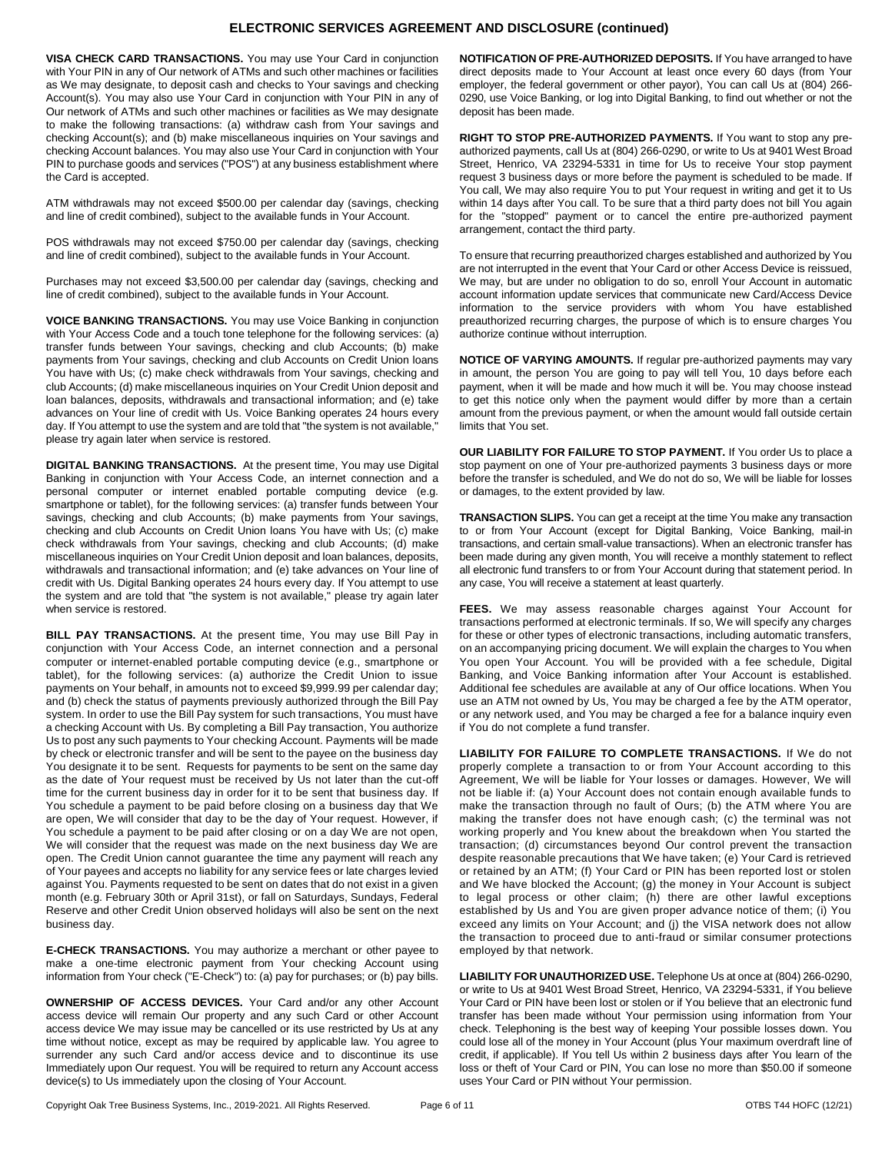## **ELECTRONIC SERVICES AGREEMENT AND DISCLOSURE (continued)**

**VISA CHECK CARD TRANSACTIONS.** You may use Your Card in conjunction with Your PIN in any of Our network of ATMs and such other machines or facilities as We may designate, to deposit cash and checks to Your savings and checking Account(s). You may also use Your Card in conjunction with Your PIN in any of Our network of ATMs and such other machines or facilities as We may designate to make the following transactions: (a) withdraw cash from Your savings and checking Account(s); and (b) make miscellaneous inquiries on Your savings and checking Account balances. You may also use Your Card in conjunction with Your PIN to purchase goods and services ("POS") at any business establishment where the Card is accepted.

ATM withdrawals may not exceed \$500.00 per calendar day (savings, checking and line of credit combined), subject to the available funds in Your Account.

POS withdrawals may not exceed \$750.00 per calendar day (savings, checking and line of credit combined), subject to the available funds in Your Account.

Purchases may not exceed \$3,500.00 per calendar day (savings, checking and line of credit combined), subject to the available funds in Your Account.

**VOICE BANKING TRANSACTIONS.** You may use Voice Banking in conjunction with Your Access Code and a touch tone telephone for the following services: (a) transfer funds between Your savings, checking and club Accounts; (b) make payments from Your savings, checking and club Accounts on Credit Union loans You have with Us; (c) make check withdrawals from Your savings, checking and club Accounts; (d) make miscellaneous inquiries on Your Credit Union deposit and loan balances, deposits, withdrawals and transactional information; and (e) take advances on Your line of credit with Us. Voice Banking operates 24 hours every day. If You attempt to use the system and are told that "the system is not available," please try again later when service is restored.

**DIGITAL BANKING TRANSACTIONS.** At the present time, You may use Digital Banking in conjunction with Your Access Code, an internet connection and a personal computer or internet enabled portable computing device (e.g. smartphone or tablet), for the following services: (a) transfer funds between Your savings, checking and club Accounts; (b) make payments from Your savings, checking and club Accounts on Credit Union loans You have with Us; (c) make check withdrawals from Your savings, checking and club Accounts; (d) make miscellaneous inquiries on Your Credit Union deposit and loan balances, deposits, withdrawals and transactional information; and (e) take advances on Your line of credit with Us. Digital Banking operates 24 hours every day. If You attempt to use the system and are told that "the system is not available," please try again later when service is restored.

**BILL PAY TRANSACTIONS.** At the present time, You may use Bill Pay in conjunction with Your Access Code, an internet connection and a personal computer or internet-enabled portable computing device (e.g., smartphone or tablet), for the following services: (a) authorize the Credit Union to issue payments on Your behalf, in amounts not to exceed \$9,999.99 per calendar day; and (b) check the status of payments previously authorized through the Bill Pay system. In order to use the Bill Pay system for such transactions, You must have a checking Account with Us. By completing a Bill Pay transaction, You authorize Us to post any such payments to Your checking Account. Payments will be made by check or electronic transfer and will be sent to the payee on the business day You designate it to be sent. Requests for payments to be sent on the same day as the date of Your request must be received by Us not later than the cut-off time for the current business day in order for it to be sent that business day. If You schedule a payment to be paid before closing on a business day that We are open, We will consider that day to be the day of Your request. However, if You schedule a payment to be paid after closing or on a day We are not open, We will consider that the request was made on the next business day We are open. The Credit Union cannot guarantee the time any payment will reach any of Your payees and accepts no liability for any service fees or late charges levied against You. Payments requested to be sent on dates that do not exist in a given month (e.g. February 30th or April 31st), or fall on Saturdays, Sundays, Federal Reserve and other Credit Union observed holidays will also be sent on the next business day.

**E-CHECK TRANSACTIONS.** You may authorize a merchant or other payee to make a one-time electronic payment from Your checking Account using information from Your check ("E-Check") to: (a) pay for purchases; or (b) pay bills.

**OWNERSHIP OF ACCESS DEVICES.** Your Card and/or any other Account access device will remain Our property and any such Card or other Account access device We may issue may be cancelled or its use restricted by Us at any time without notice, except as may be required by applicable law. You agree to surrender any such Card and/or access device and to discontinue its use Immediately upon Our request. You will be required to return any Account access device(s) to Us immediately upon the closing of Your Account.

**NOTIFICATION OF PRE-AUTHORIZED DEPOSITS.** If You have arranged to have direct deposits made to Your Account at least once every 60 days (from Your employer, the federal government or other payor), You can call Us at (804) 266- 0290, use Voice Banking, or log into Digital Banking, to find out whether or not the deposit has been made.

**RIGHT TO STOP PRE-AUTHORIZED PAYMENTS.** If You want to stop any preauthorized payments, call Us at (804) 266-0290, or write to Us at 9401 West Broad Street, Henrico, VA 23294-5331 in time for Us to receive Your stop payment request 3 business days or more before the payment is scheduled to be made. If You call, We may also require You to put Your request in writing and get it to Us within 14 days after You call. To be sure that a third party does not bill You again for the "stopped" payment or to cancel the entire pre-authorized payment arrangement, contact the third party.

To ensure that recurring preauthorized charges established and authorized by You are not interrupted in the event that Your Card or other Access Device is reissued, We may, but are under no obligation to do so, enroll Your Account in automatic account information update services that communicate new Card/Access Device information to the service providers with whom You have established preauthorized recurring charges, the purpose of which is to ensure charges You authorize continue without interruption.

**NOTICE OF VARYING AMOUNTS.** If regular pre-authorized payments may vary in amount, the person You are going to pay will tell You, 10 days before each payment, when it will be made and how much it will be. You may choose instead to get this notice only when the payment would differ by more than a certain amount from the previous payment, or when the amount would fall outside certain limits that You set.

**OUR LIABILITY FOR FAILURE TO STOP PAYMENT.** If You order Us to place a stop payment on one of Your pre-authorized payments 3 business days or more before the transfer is scheduled, and We do not do so, We will be liable for losses or damages, to the extent provided by law.

**TRANSACTION SLIPS.** You can get a receipt at the time You make any transaction to or from Your Account (except for Digital Banking, Voice Banking, mail-in transactions, and certain small-value transactions). When an electronic transfer has been made during any given month, You will receive a monthly statement to reflect all electronic fund transfers to or from Your Account during that statement period. In any case, You will receive a statement at least quarterly.

**FEES.** We may assess reasonable charges against Your Account for transactions performed at electronic terminals. If so, We will specify any charges for these or other types of electronic transactions, including automatic transfers, on an accompanying pricing document. We will explain the charges to You when You open Your Account. You will be provided with a fee schedule, Digital Banking, and Voice Banking information after Your Account is established. Additional fee schedules are available at any of Our office locations. When You use an ATM not owned by Us, You may be charged a fee by the ATM operator, or any network used, and You may be charged a fee for a balance inquiry even if You do not complete a fund transfer.

**LIABILITY FOR FAILURE TO COMPLETE TRANSACTIONS.** If We do not properly complete a transaction to or from Your Account according to this Agreement, We will be liable for Your losses or damages. However, We will not be liable if: (a) Your Account does not contain enough available funds to make the transaction through no fault of Ours; (b) the ATM where You are making the transfer does not have enough cash; (c) the terminal was not working properly and You knew about the breakdown when You started the transaction; (d) circumstances beyond Our control prevent the transaction despite reasonable precautions that We have taken; (e) Your Card is retrieved or retained by an ATM; (f) Your Card or PIN has been reported lost or stolen and We have blocked the Account; (g) the money in Your Account is subject to legal process or other claim; (h) there are other lawful exceptions established by Us and You are given proper advance notice of them; (i) You exceed any limits on Your Account; and (j) the VISA network does not allow the transaction to proceed due to anti-fraud or similar consumer protections employed by that network.

**LIABILITY FOR UNAUTHORIZED USE.** Telephone Us at once at (804) 266-0290, or write to Us at 9401 West Broad Street, Henrico, VA 23294-5331, if You believe Your Card or PIN have been lost or stolen or if You believe that an electronic fund transfer has been made without Your permission using information from Your check. Telephoning is the best way of keeping Your possible losses down. You could lose all of the money in Your Account (plus Your maximum overdraft line of credit, if applicable). If You tell Us within 2 business days after You learn of the loss or theft of Your Card or PIN, You can lose no more than \$50.00 if someone uses Your Card or PIN without Your permission.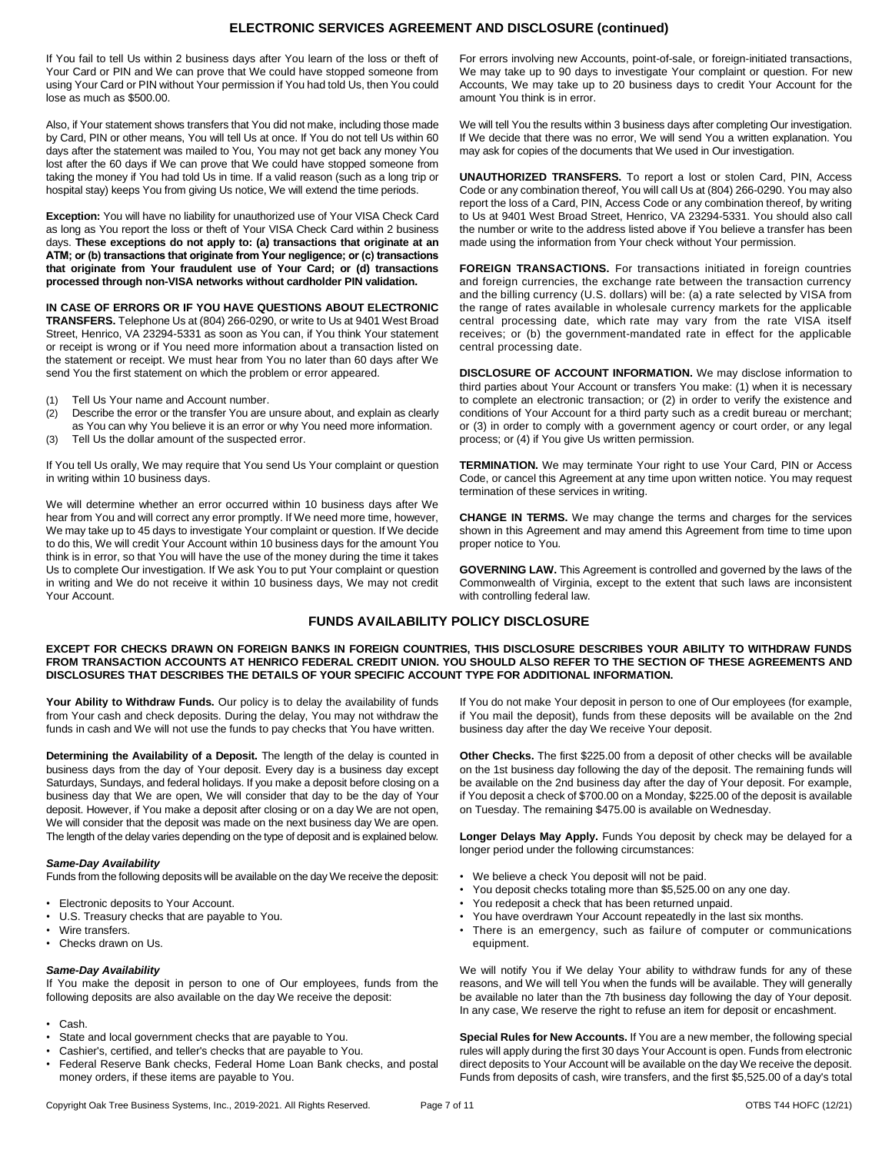## **ELECTRONIC SERVICES AGREEMENT AND DISCLOSURE (continued)**

If You fail to tell Us within 2 business days after You learn of the loss or theft of Your Card or PIN and We can prove that We could have stopped someone from using Your Card or PIN without Your permission if You had told Us, then You could lose as much as \$500.00.

Also, if Your statement shows transfers that You did not make, including those made by Card, PIN or other means, You will tell Us at once. If You do not tell Us within 60 days after the statement was mailed to You, You may not get back any money You lost after the 60 days if We can prove that We could have stopped someone from taking the money if You had told Us in time. If a valid reason (such as a long trip or hospital stay) keeps You from giving Us notice, We will extend the time periods.

**Exception:** You will have no liability for unauthorized use of Your VISA Check Card as long as You report the loss or theft of Your VISA Check Card within 2 business days. **These exceptions do not apply to: (a) transactions that originate at an ATM; or (b) transactions that originate from Your negligence; or (c) transactions that originate from Your fraudulent use of Your Card; or (d) transactions processed through non-VISA networks without cardholder PIN validation.**

**IN CASE OF ERRORS OR IF YOU HAVE QUESTIONS ABOUT ELECTRONIC TRANSFERS.** Telephone Us at (804) 266-0290, or write to Us at 9401 West Broad Street, Henrico, VA 23294-5331 as soon as You can, if You think Your statement or receipt is wrong or if You need more information about a transaction listed on the statement or receipt. We must hear from You no later than 60 days after We send You the first statement on which the problem or error appeared.

- (1) Tell Us Your name and Account number.
- (2) Describe the error or the transfer You are unsure about, and explain as clearly as You can why You believe it is an error or why You need more information.
- (3) Tell Us the dollar amount of the suspected error.

If You tell Us orally, We may require that You send Us Your complaint or question in writing within 10 business days.

We will determine whether an error occurred within 10 business days after We hear from You and will correct any error promptly. If We need more time, however, We may take up to 45 days to investigate Your complaint or question. If We decide to do this, We will credit Your Account within 10 business days for the amount You think is in error, so that You will have the use of the money during the time it takes Us to complete Our investigation. If We ask You to put Your complaint or question in writing and We do not receive it within 10 business days, We may not credit Your Account.

For errors involving new Accounts, point-of-sale, or foreign-initiated transactions, We may take up to 90 days to investigate Your complaint or question. For new Accounts, We may take up to 20 business days to credit Your Account for the amount You think is in error.

We will tell You the results within 3 business days after completing Our investigation. If We decide that there was no error, We will send You a written explanation. You may ask for copies of the documents that We used in Our investigation.

**UNAUTHORIZED TRANSFERS.** To report a lost or stolen Card, PIN, Access Code or any combination thereof, You will call Us at (804) 266-0290. You may also report the loss of a Card, PIN, Access Code or any combination thereof, by writing to Us at 9401 West Broad Street, Henrico, VA 23294-5331. You should also call the number or write to the address listed above if You believe a transfer has been made using the information from Your check without Your permission.

**FOREIGN TRANSACTIONS.** For transactions initiated in foreign countries and foreign currencies, the exchange rate between the transaction currency and the billing currency (U.S. dollars) will be: (a) a rate selected by VISA from the range of rates available in wholesale currency markets for the applicable central processing date, which rate may vary from the rate VISA itself receives; or (b) the government-mandated rate in effect for the applicable central processing date.

**DISCLOSURE OF ACCOUNT INFORMATION.** We may disclose information to third parties about Your Account or transfers You make: (1) when it is necessary to complete an electronic transaction; or (2) in order to verify the existence and conditions of Your Account for a third party such as a credit bureau or merchant; or (3) in order to comply with a government agency or court order, or any legal process; or (4) if You give Us written permission.

**TERMINATION.** We may terminate Your right to use Your Card, PIN or Access Code, or cancel this Agreement at any time upon written notice. You may request termination of these services in writing.

**CHANGE IN TERMS.** We may change the terms and charges for the services shown in this Agreement and may amend this Agreement from time to time upon proper notice to You.

**GOVERNING LAW.** This Agreement is controlled and governed by the laws of the Commonwealth of Virginia, except to the extent that such laws are inconsistent with controlling federal law.

## **FUNDS AVAILABILITY POLICY DISCLOSURE**

**EXCEPT FOR CHECKS DRAWN ON FOREIGN BANKS IN FOREIGN COUNTRIES, THIS DISCLOSURE DESCRIBES YOUR ABILITY TO WITHDRAW FUNDS FROM TRANSACTION ACCOUNTS AT HENRICO FEDERAL CREDIT UNION. YOU SHOULD ALSO REFER TO THE SECTION OF THESE AGREEMENTS AND DISCLOSURES THAT DESCRIBES THE DETAILS OF YOUR SPECIFIC ACCOUNT TYPE FOR ADDITIONAL INFORMATION.**

Your Ability to Withdraw Funds. Our policy is to delay the availability of funds from Your cash and check deposits. During the delay, You may not withdraw the funds in cash and We will not use the funds to pay checks that You have written.

**Determining the Availability of a Deposit.** The length of the delay is counted in business days from the day of Your deposit. Every day is a business day except Saturdays, Sundays, and federal holidays. If you make a deposit before closing on a business day that We are open, We will consider that day to be the day of Your deposit. However, if You make a deposit after closing or on a day We are not open, We will consider that the deposit was made on the next business day We are open. The length of the delay varies depending on the type of deposit and is explained below.

#### *Same-Day Availability*

Funds from the following deposits will be available on the day We receive the deposit:

- Electronic deposits to Your Account.
- U.S. Treasury checks that are payable to You.
- Wire transfers.
- Checks drawn on Us.

#### *Same-Day Availability*

If You make the deposit in person to one of Our employees, funds from the following deposits are also available on the day We receive the deposit:

- Cash.
- State and local government checks that are payable to You.
- Cashier's, certified, and teller's checks that are payable to You.
- Federal Reserve Bank checks, Federal Home Loan Bank checks, and postal money orders, if these items are payable to You.

If You do not make Your deposit in person to one of Our employees (for example, if You mail the deposit), funds from these deposits will be available on the 2nd business day after the day We receive Your deposit.

**Other Checks.** The first \$225.00 from a deposit of other checks will be available on the 1st business day following the day of the deposit. The remaining funds will be available on the 2nd business day after the day of Your deposit. For example, if You deposit a check of \$700.00 on a Monday, \$225.00 of the deposit is available on Tuesday. The remaining \$475.00 is available on Wednesday.

**Longer Delays May Apply.** Funds You deposit by check may be delayed for a longer period under the following circumstances:

- We believe a check You deposit will not be paid.
- You deposit checks totaling more than \$5,525.00 on any one day.
- You redeposit a check that has been returned unpaid.
- You have overdrawn Your Account repeatedly in the last six months.
- There is an emergency, such as failure of computer or communications equipment.

We will notify You if We delay Your ability to withdraw funds for any of these reasons, and We will tell You when the funds will be available. They will generally be available no later than the 7th business day following the day of Your deposit. In any case, We reserve the right to refuse an item for deposit or encashment.

**Special Rules for New Accounts.** If You are a new member, the following special rules will apply during the first 30 days Your Account is open. Funds from electronic direct deposits to Your Account will be available on the day We receive the deposit. Funds from deposits of cash, wire transfers, and the first \$5,525.00 of a day's total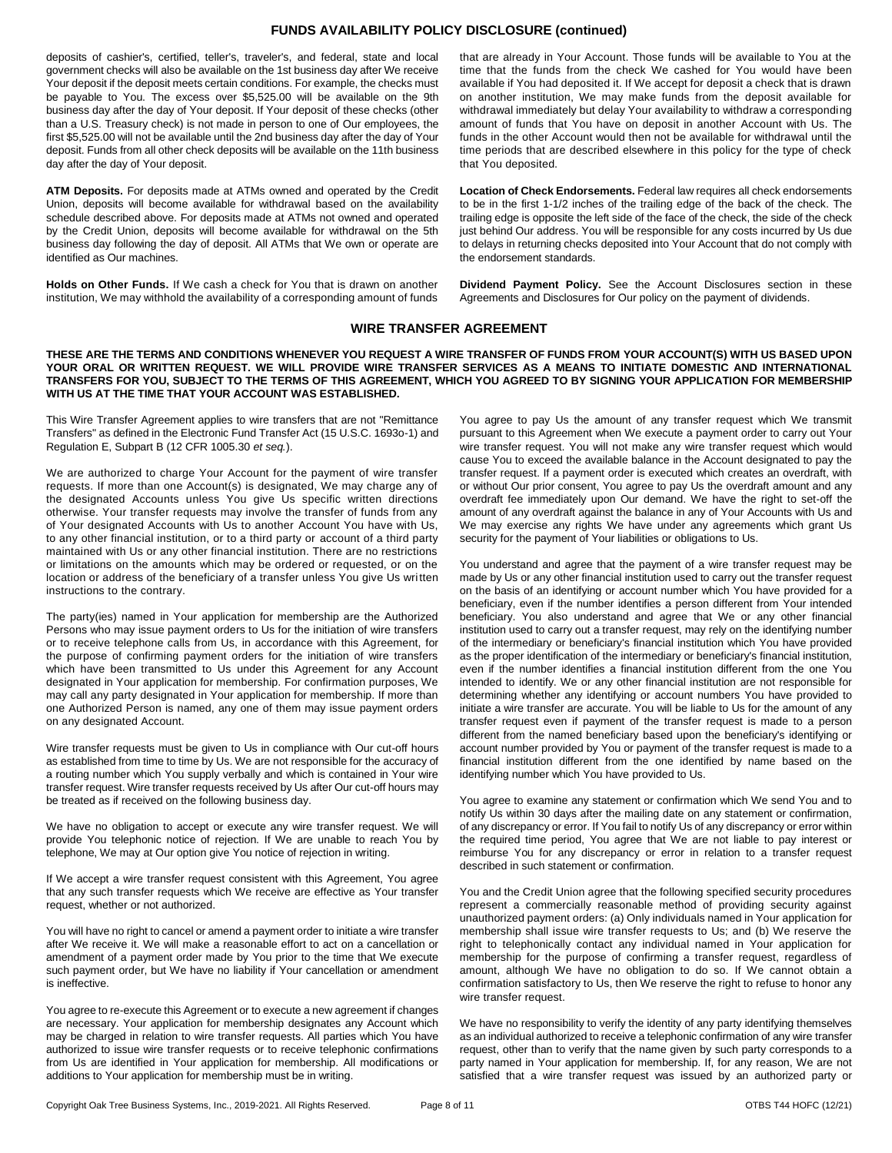## **FUNDS AVAILABILITY POLICY DISCLOSURE (continued)**

deposits of cashier's, certified, teller's, traveler's, and federal, state and local government checks will also be available on the 1st business day after We receive Your deposit if the deposit meets certain conditions. For example, the checks must be payable to You. The excess over \$5,525.00 will be available on the 9th business day after the day of Your deposit. If Your deposit of these checks (other than a U.S. Treasury check) is not made in person to one of Our employees, the first \$5,525.00 will not be available until the 2nd business day after the day of Your deposit. Funds from all other check deposits will be available on the 11th business day after the day of Your deposit.

**ATM Deposits.** For deposits made at ATMs owned and operated by the Credit Union, deposits will become available for withdrawal based on the availability schedule described above. For deposits made at ATMs not owned and operated by the Credit Union, deposits will become available for withdrawal on the 5th business day following the day of deposit. All ATMs that We own or operate are identified as Our machines.

**Holds on Other Funds.** If We cash a check for You that is drawn on another institution, We may withhold the availability of a corresponding amount of funds

that are already in Your Account. Those funds will be available to You at the time that the funds from the check We cashed for You would have been available if You had deposited it. If We accept for deposit a check that is drawn on another institution, We may make funds from the deposit available for withdrawal immediately but delay Your availability to withdraw a corresponding amount of funds that You have on deposit in another Account with Us. The funds in the other Account would then not be available for withdrawal until the time periods that are described elsewhere in this policy for the type of check that You deposited.

**Location of Check Endorsements.** Federal law requires all check endorsements to be in the first 1-1/2 inches of the trailing edge of the back of the check. The trailing edge is opposite the left side of the face of the check, the side of the check just behind Our address. You will be responsible for any costs incurred by Us due to delays in returning checks deposited into Your Account that do not comply with the endorsement standards.

**Dividend Payment Policy.** See the Account Disclosures section in these Agreements and Disclosures for Our policy on the payment of dividends.

## **WIRE TRANSFER AGREEMENT**

**THESE ARE THE TERMS AND CONDITIONS WHENEVER YOU REQUEST A WIRE TRANSFER OF FUNDS FROM YOUR ACCOUNT(S) WITH US BASED UPON YOUR ORAL OR WRITTEN REQUEST. WE WILL PROVIDE WIRE TRANSFER SERVICES AS A MEANS TO INITIATE DOMESTIC AND INTERNATIONAL TRANSFERS FOR YOU, SUBJECT TO THE TERMS OF THIS AGREEMENT, WHICH YOU AGREED TO BY SIGNING YOUR APPLICATION FOR MEMBERSHIP WITH US AT THE TIME THAT YOUR ACCOUNT WAS ESTABLISHED.**

This Wire Transfer Agreement applies to wire transfers that are not "Remittance Transfers" as defined in the Electronic Fund Transfer Act (15 U.S.C. 1693o-1) and Regulation E, Subpart B (12 CFR 1005.30 *et seq.*).

We are authorized to charge Your Account for the payment of wire transfer requests. If more than one Account(s) is designated, We may charge any of the designated Accounts unless You give Us specific written directions otherwise. Your transfer requests may involve the transfer of funds from any of Your designated Accounts with Us to another Account You have with Us, to any other financial institution, or to a third party or account of a third party maintained with Us or any other financial institution. There are no restrictions or limitations on the amounts which may be ordered or requested, or on the location or address of the beneficiary of a transfer unless You give Us written instructions to the contrary.

The party(ies) named in Your application for membership are the Authorized Persons who may issue payment orders to Us for the initiation of wire transfers or to receive telephone calls from Us, in accordance with this Agreement, for the purpose of confirming payment orders for the initiation of wire transfers which have been transmitted to Us under this Agreement for any Account designated in Your application for membership. For confirmation purposes, We may call any party designated in Your application for membership. If more than one Authorized Person is named, any one of them may issue payment orders on any designated Account.

Wire transfer requests must be given to Us in compliance with Our cut-off hours as established from time to time by Us. We are not responsible for the accuracy of a routing number which You supply verbally and which is contained in Your wire transfer request. Wire transfer requests received by Us after Our cut-off hours may be treated as if received on the following business day.

We have no obligation to accept or execute any wire transfer request. We will provide You telephonic notice of rejection. If We are unable to reach You by telephone, We may at Our option give You notice of rejection in writing.

If We accept a wire transfer request consistent with this Agreement, You agree that any such transfer requests which We receive are effective as Your transfer request, whether or not authorized.

You will have no right to cancel or amend a payment order to initiate a wire transfer after We receive it. We will make a reasonable effort to act on a cancellation or amendment of a payment order made by You prior to the time that We execute such payment order, but We have no liability if Your cancellation or amendment is ineffective.

You agree to re-execute this Agreement or to execute a new agreement if changes are necessary. Your application for membership designates any Account which may be charged in relation to wire transfer requests. All parties which You have authorized to issue wire transfer requests or to receive telephonic confirmations from Us are identified in Your application for membership. All modifications or additions to Your application for membership must be in writing.

You agree to pay Us the amount of any transfer request which We transmit pursuant to this Agreement when We execute a payment order to carry out Your wire transfer request. You will not make any wire transfer request which would cause You to exceed the available balance in the Account designated to pay the transfer request. If a payment order is executed which creates an overdraft, with or without Our prior consent, You agree to pay Us the overdraft amount and any overdraft fee immediately upon Our demand. We have the right to set-off the amount of any overdraft against the balance in any of Your Accounts with Us and We may exercise any rights We have under any agreements which grant Us security for the payment of Your liabilities or obligations to Us.

You understand and agree that the payment of a wire transfer request may be made by Us or any other financial institution used to carry out the transfer request on the basis of an identifying or account number which You have provided for a beneficiary, even if the number identifies a person different from Your intended beneficiary. You also understand and agree that We or any other financial institution used to carry out a transfer request, may rely on the identifying number of the intermediary or beneficiary's financial institution which You have provided as the proper identification of the intermediary or beneficiary's financial institution, even if the number identifies a financial institution different from the one You intended to identify. We or any other financial institution are not responsible for determining whether any identifying or account numbers You have provided to initiate a wire transfer are accurate. You will be liable to Us for the amount of any transfer request even if payment of the transfer request is made to a person different from the named beneficiary based upon the beneficiary's identifying or account number provided by You or payment of the transfer request is made to a financial institution different from the one identified by name based on the identifying number which You have provided to Us.

You agree to examine any statement or confirmation which We send You and to notify Us within 30 days after the mailing date on any statement or confirmation, of any discrepancy or error. If You fail to notify Us of any discrepancy or error within the required time period, You agree that We are not liable to pay interest or reimburse You for any discrepancy or error in relation to a transfer request described in such statement or confirmation.

You and the Credit Union agree that the following specified security procedures represent a commercially reasonable method of providing security against unauthorized payment orders: (a) Only individuals named in Your application for membership shall issue wire transfer requests to Us; and (b) We reserve the right to telephonically contact any individual named in Your application for membership for the purpose of confirming a transfer request, regardless of amount, although We have no obligation to do so. If We cannot obtain a confirmation satisfactory to Us, then We reserve the right to refuse to honor any wire transfer request.

We have no responsibility to verify the identity of any party identifying themselves as an individual authorized to receive a telephonic confirmation of any wire transfer request, other than to verify that the name given by such party corresponds to a party named in Your application for membership. If, for any reason, We are not satisfied that a wire transfer request was issued by an authorized party or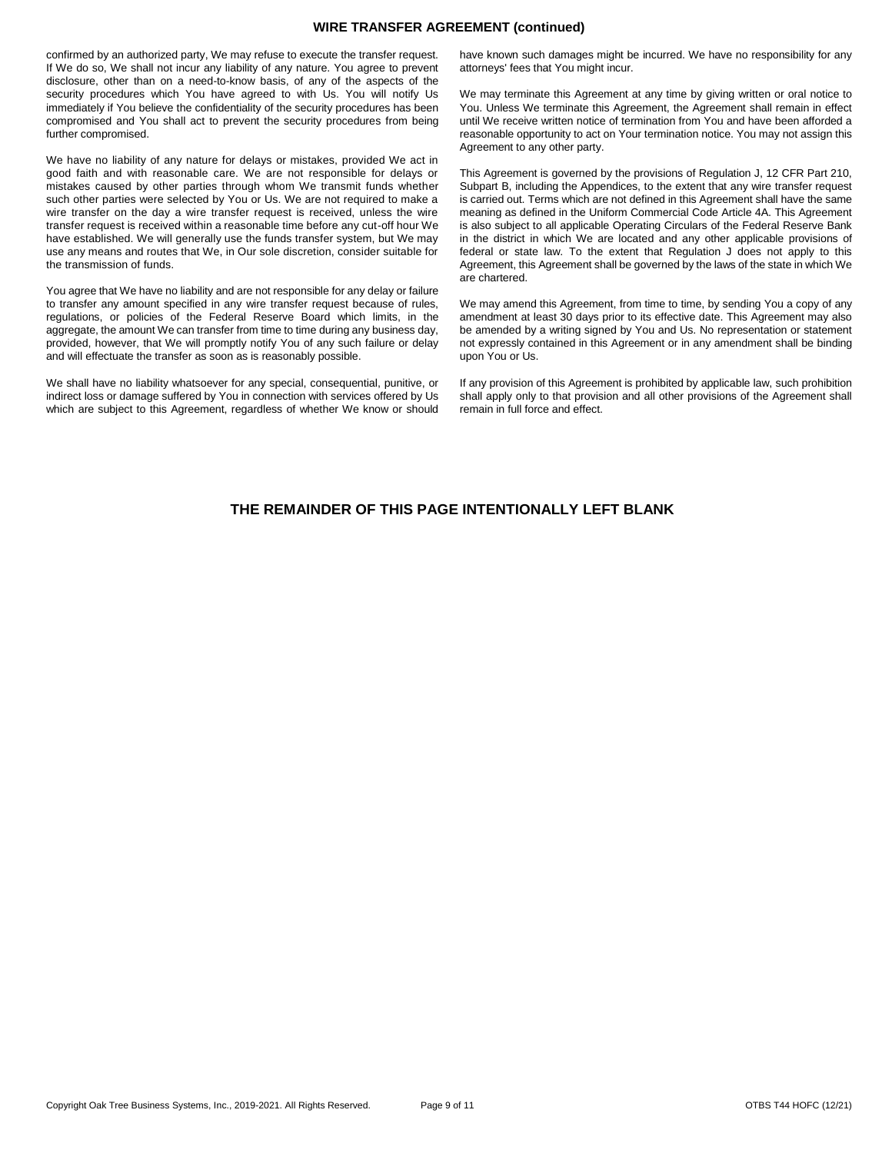## **WIRE TRANSFER AGREEMENT (continued)**

confirmed by an authorized party, We may refuse to execute the transfer request. If We do so, We shall not incur any liability of any nature. You agree to prevent disclosure, other than on a need-to-know basis, of any of the aspects of the security procedures which You have agreed to with Us. You will notify Us immediately if You believe the confidentiality of the security procedures has been compromised and You shall act to prevent the security procedures from being further compromised.

We have no liability of any nature for delays or mistakes, provided We act in good faith and with reasonable care. We are not responsible for delays or mistakes caused by other parties through whom We transmit funds whether such other parties were selected by You or Us. We are not required to make a wire transfer on the day a wire transfer request is received, unless the wire transfer request is received within a reasonable time before any cut-off hour We have established. We will generally use the funds transfer system, but We may use any means and routes that We, in Our sole discretion, consider suitable for the transmission of funds.

You agree that We have no liability and are not responsible for any delay or failure to transfer any amount specified in any wire transfer request because of rules, regulations, or policies of the Federal Reserve Board which limits, in the aggregate, the amount We can transfer from time to time during any business day, provided, however, that We will promptly notify You of any such failure or delay and will effectuate the transfer as soon as is reasonably possible.

We shall have no liability whatsoever for any special, consequential, punitive, or indirect loss or damage suffered by You in connection with services offered by Us which are subject to this Agreement, regardless of whether We know or should

have known such damages might be incurred. We have no responsibility for any attorneys' fees that You might incur.

We may terminate this Agreement at any time by giving written or oral notice to You. Unless We terminate this Agreement, the Agreement shall remain in effect until We receive written notice of termination from You and have been afforded a reasonable opportunity to act on Your termination notice. You may not assign this Agreement to any other party.

This Agreement is governed by the provisions of Regulation J, 12 CFR Part 210, Subpart B, including the Appendices, to the extent that any wire transfer request is carried out. Terms which are not defined in this Agreement shall have the same meaning as defined in the Uniform Commercial Code Article 4A. This Agreement is also subject to all applicable Operating Circulars of the Federal Reserve Bank in the district in which We are located and any other applicable provisions of federal or state law. To the extent that Regulation J does not apply to this Agreement, this Agreement shall be governed by the laws of the state in which We are chartered.

We may amend this Agreement, from time to time, by sending You a copy of any amendment at least 30 days prior to its effective date. This Agreement may also be amended by a writing signed by You and Us. No representation or statement not expressly contained in this Agreement or in any amendment shall be binding upon You or Us.

If any provision of this Agreement is prohibited by applicable law, such prohibition shall apply only to that provision and all other provisions of the Agreement shall remain in full force and effect.

## **THE REMAINDER OF THIS PAGE INTENTIONALLY LEFT BLANK**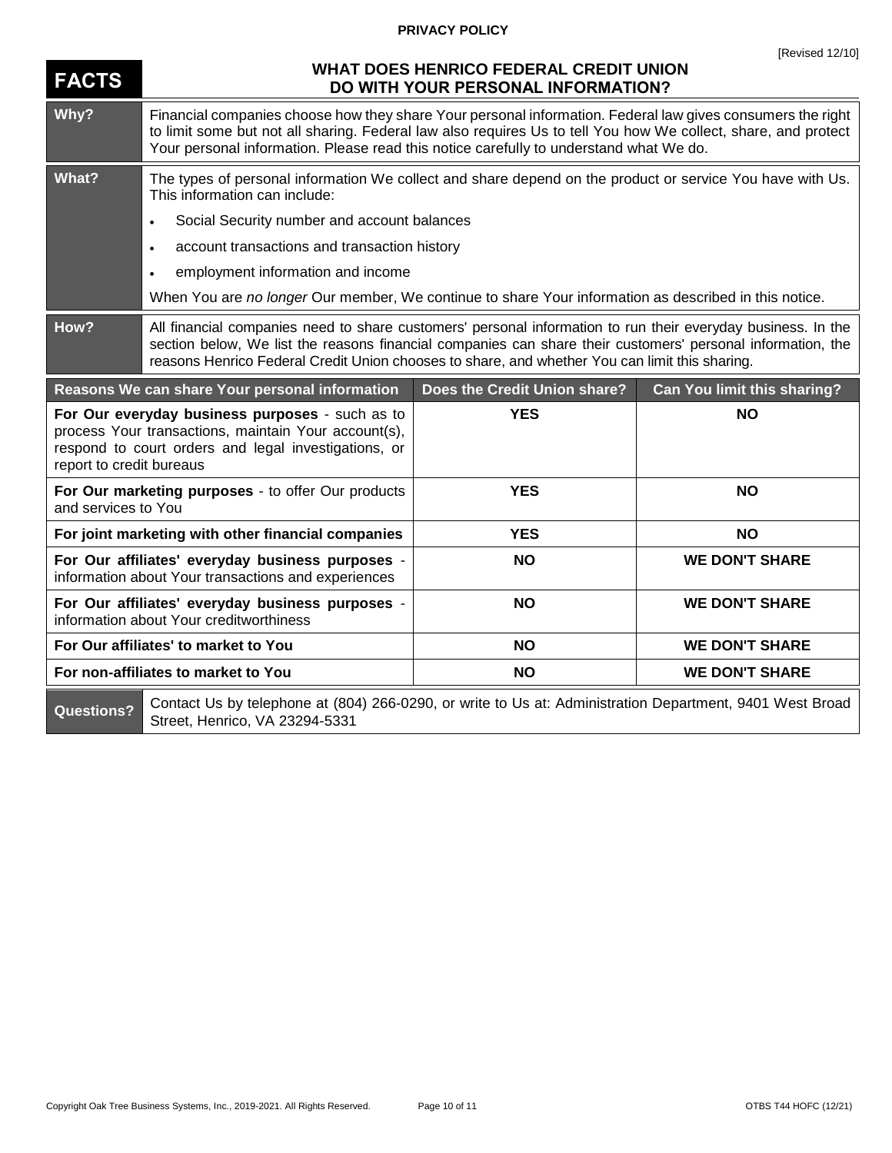# **PRIVACY POLICY**

| <b>FACTS</b>                                                                                                                                                                                | <b>WHAT DOES HENRICO FEDERAL CREDIT UNION</b><br>DO WITH YOUR PERSONAL INFORMATION?                                                                                                                                                                                                                                           |                              |                             |  |
|---------------------------------------------------------------------------------------------------------------------------------------------------------------------------------------------|-------------------------------------------------------------------------------------------------------------------------------------------------------------------------------------------------------------------------------------------------------------------------------------------------------------------------------|------------------------------|-----------------------------|--|
| Why?                                                                                                                                                                                        | Financial companies choose how they share Your personal information. Federal law gives consumers the right<br>to limit some but not all sharing. Federal law also requires Us to tell You how We collect, share, and protect<br>Your personal information. Please read this notice carefully to understand what We do.        |                              |                             |  |
| What?                                                                                                                                                                                       | The types of personal information We collect and share depend on the product or service You have with Us.<br>This information can include:                                                                                                                                                                                    |                              |                             |  |
|                                                                                                                                                                                             | Social Security number and account balances<br>$\bullet$                                                                                                                                                                                                                                                                      |                              |                             |  |
|                                                                                                                                                                                             | account transactions and transaction history<br>$\bullet$                                                                                                                                                                                                                                                                     |                              |                             |  |
|                                                                                                                                                                                             | employment information and income<br>$\bullet$                                                                                                                                                                                                                                                                                |                              |                             |  |
|                                                                                                                                                                                             | When You are no longer Our member, We continue to share Your information as described in this notice.                                                                                                                                                                                                                         |                              |                             |  |
| How?                                                                                                                                                                                        | All financial companies need to share customers' personal information to run their everyday business. In the<br>section below, We list the reasons financial companies can share their customers' personal information, the<br>reasons Henrico Federal Credit Union chooses to share, and whether You can limit this sharing. |                              |                             |  |
|                                                                                                                                                                                             | Reasons We can share Your personal information                                                                                                                                                                                                                                                                                | Does the Credit Union share? | Can You limit this sharing? |  |
| For Our everyday business purposes - such as to<br>process Your transactions, maintain Your account(s),<br>respond to court orders and legal investigations, or<br>report to credit bureaus |                                                                                                                                                                                                                                                                                                                               | <b>YES</b>                   | <b>NO</b>                   |  |
|                                                                                                                                                                                             |                                                                                                                                                                                                                                                                                                                               |                              |                             |  |
| and services to You                                                                                                                                                                         | For Our marketing purposes - to offer Our products                                                                                                                                                                                                                                                                            | <b>YES</b>                   | <b>NO</b>                   |  |
|                                                                                                                                                                                             | For joint marketing with other financial companies                                                                                                                                                                                                                                                                            | <b>YES</b>                   | <b>NO</b>                   |  |
|                                                                                                                                                                                             | For Our affiliates' everyday business purposes -<br>information about Your transactions and experiences                                                                                                                                                                                                                       | <b>NO</b>                    | <b>WE DON'T SHARE</b>       |  |
|                                                                                                                                                                                             | For Our affiliates' everyday business purposes -<br>information about Your creditworthiness                                                                                                                                                                                                                                   | <b>NO</b>                    | <b>WE DON'T SHARE</b>       |  |
|                                                                                                                                                                                             | For Our affiliates' to market to You                                                                                                                                                                                                                                                                                          | <b>NO</b>                    | <b>WE DON'T SHARE</b>       |  |
|                                                                                                                                                                                             | For non-affiliates to market to You                                                                                                                                                                                                                                                                                           | <b>NO</b>                    | <b>WE DON'T SHARE</b>       |  |